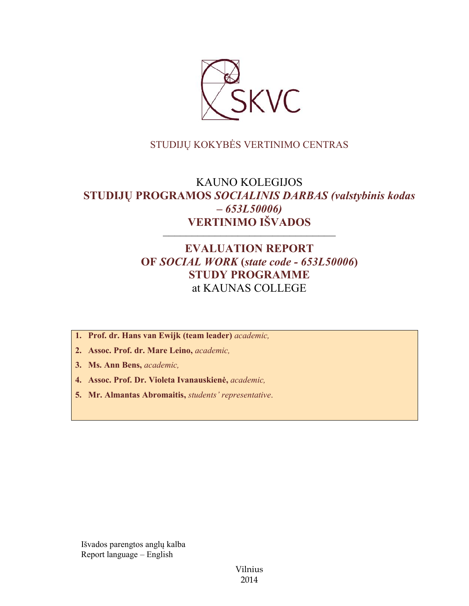

## STUDIJŲ KOKYBĖS VERTINIMO CENTRAS

# KAUNO KOLEGIJOS **STUDIJŲ PROGRAMOS** *SOCIALINIS DARBAS (valstybinis kodas – 653L50006)* **VERTINIMO IŠVADOS**

# **EVALUATION REPORT OF** *SOCIAL WORK* **(***state code - 653L50006***) STUDY PROGRAMME** at KAUNAS COLLEGE

––––––––––––––––––––––––––––––

- **1. Prof. dr. Hans van Ewijk (team leader)** *academic,*
- **2. Assoc. Prof. dr. Mare Leino,** *academic,*
- **3. Ms. Ann Bens,** *academic,*
- **4. Assoc. Prof. Dr. Violeta Ivanauskienė,** *academic,*
- **5. Mr. Almantas Abromaitis,** *students' representative*.

Išvados parengtos anglų kalba Report language – English

> Vilnius 2014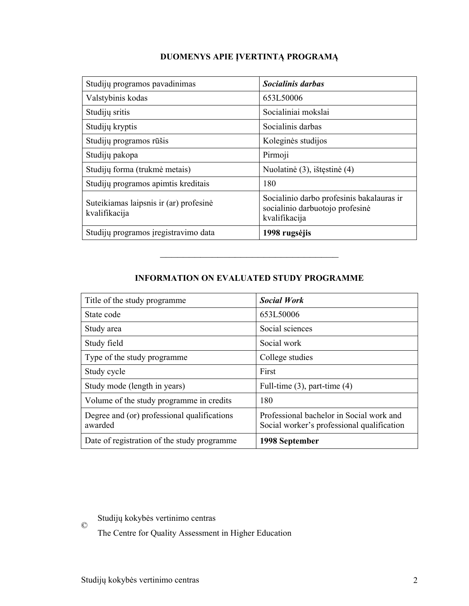| Studijų programos pavadinimas                           | Socialinis darbas                                                                             |
|---------------------------------------------------------|-----------------------------------------------------------------------------------------------|
| Valstybinis kodas                                       | 653L50006                                                                                     |
| Studijų sritis                                          | Socialiniai mokslai                                                                           |
| Studijų kryptis                                         | Socialinis darbas                                                                             |
| Studijų programos rūšis                                 | Koleginės studijos                                                                            |
| Studijų pakopa                                          | Pirmoji                                                                                       |
| Studijų forma (trukmė metais)                           | Nuolatinė (3), ištęstinė (4)                                                                  |
| Studijų programos apimtis kreditais                     | 180                                                                                           |
| Suteikiamas laipsnis ir (ar) profesinė<br>kvalifikacija | Socialinio darbo profesinis bakalauras ir<br>socialinio darbuotojo profesinė<br>kvalifikacija |
| Studijų programos įregistravimo data                    | 1998 rugsėjis                                                                                 |

## **INFORMATION ON EVALUATED STUDY PROGRAMME**

–––––––––––––––––––––––––––––––

| Title of the study programme                           | <b>Social Work</b>                                                                     |
|--------------------------------------------------------|----------------------------------------------------------------------------------------|
| State code                                             | 653L50006                                                                              |
| Study area                                             | Social sciences                                                                        |
| Study field                                            | Social work                                                                            |
| Type of the study programme                            | College studies                                                                        |
| Study cycle                                            | First                                                                                  |
| Study mode (length in years)                           | Full-time $(3)$ , part-time $(4)$                                                      |
| Volume of the study programme in credits               | 180                                                                                    |
| Degree and (or) professional qualifications<br>awarded | Professional bachelor in Social work and<br>Social worker's professional qualification |
| Date of registration of the study programme            | 1998 September                                                                         |

Studijų kokybės vertinimo centras

The Centre for Quality Assessment in Higher Education

©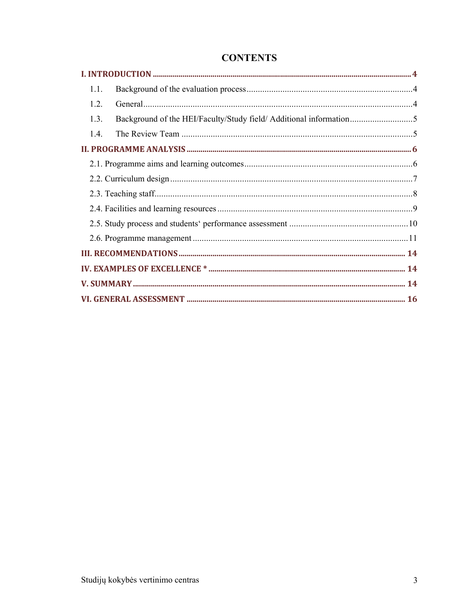| 1.1. |  |
|------|--|
| 1.2. |  |
| 1.3. |  |
| 1.4. |  |
|      |  |
|      |  |
|      |  |
|      |  |
|      |  |
|      |  |
|      |  |
|      |  |
|      |  |
|      |  |
|      |  |

## **CONTENTS**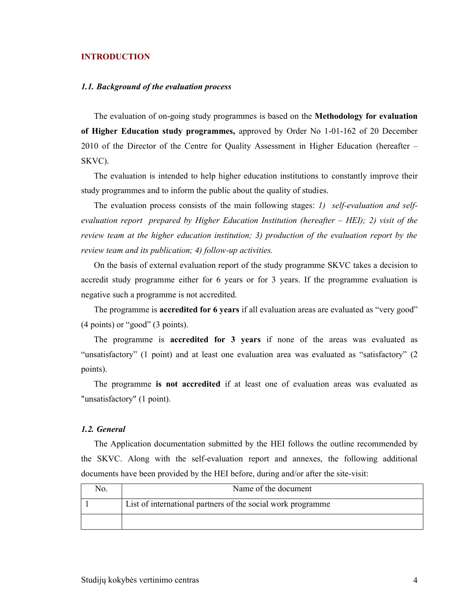#### **INTRODUCTION**

#### *1.1. Background of the evaluation process*

The evaluation of on-going study programmes is based on the **Methodology for evaluation of Higher Education study programmes,** approved by Order No 1-01-162 of 20 December 2010 of the Director of the Centre for Quality Assessment in Higher Education (hereafter – SKVC).

The evaluation is intended to help higher education institutions to constantly improve their study programmes and to inform the public about the quality of studies.

The evaluation process consists of the main following stages: *1) self-evaluation and selfevaluation report prepared by Higher Education Institution (hereafter – HEI); 2) visit of the review team at the higher education institution; 3) production of the evaluation report by the review team and its publication; 4) follow-up activities.*

On the basis of external evaluation report of the study programme SKVC takes a decision to accredit study programme either for 6 years or for 3 years. If the programme evaluation is negative such a programme is not accredited.

The programme is **accredited for 6 years** if all evaluation areas are evaluated as "very good" (4 points) or "good" (3 points).

The programme is **accredited for 3 years** if none of the areas was evaluated as "unsatisfactory" (1 point) and at least one evaluation area was evaluated as "satisfactory" (2 points).

The programme **is not accredited** if at least one of evaluation areas was evaluated as "unsatisfactory" (1 point).

### *1.2. General*

The Application documentation submitted by the HEI follows the outline recommended by the SKVC. Along with the self-evaluation report and annexes, the following additional documents have been provided by the HEI before, during and/or after the site-visit:

| No. | Name of the document                                        |
|-----|-------------------------------------------------------------|
|     | List of international partners of the social work programme |
|     |                                                             |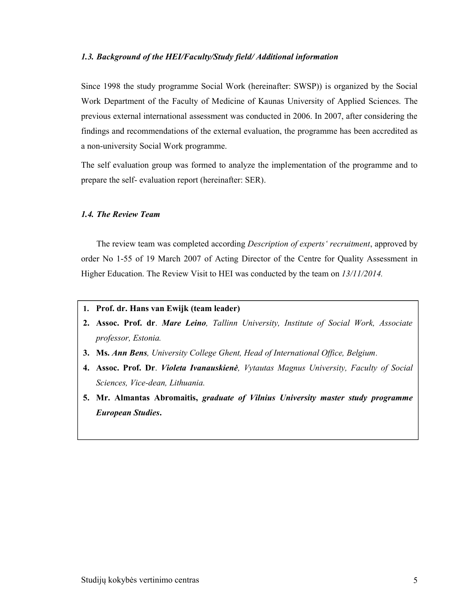#### *1.3. Background of the HEI/Faculty/Study field/ Additional information*

Since 1998 the study programme Social Work (hereinafter: SWSP)) is organized by the Social Work Department of the Faculty of Medicine of Kaunas University of Applied Sciences. The previous external international assessment was conducted in 2006. In 2007, after considering the findings and recommendations of the external evaluation, the programme has been accredited as a non-university Social Work programme.

The self evaluation group was formed to analyze the implementation of the programme and to prepare the self- evaluation report (hereinafter: SER).

### *1.4. The Review Team*

The review team was completed according *Description of experts' recruitment*, approved by order No 1-55 of 19 March 2007 of Acting Director of the Centre for Quality Assessment in Higher Education. The Review Visit to HEI was conducted by the team on *13/11/2014.*

- **1. Prof. dr. Hans van Ewijk (team leader)**
- **2. Assoc. Prof. dr**. *Mare Leino, Tallinn University, Institute of Social Work, Associate professor, Estonia.*
- **3. Ms.** *Ann Bens, University College Ghent, Head of International Office, Belgium.*
- **4. Assoc. Prof. Dr**. *Violeta Ivanauskienė, Vytautas Magnus University, Faculty of Social Sciences, Vice-dean, Lithuania.*
- **5. Mr. Almantas Abromaitis,** *graduate of Vilnius University master study programme European Studies***.**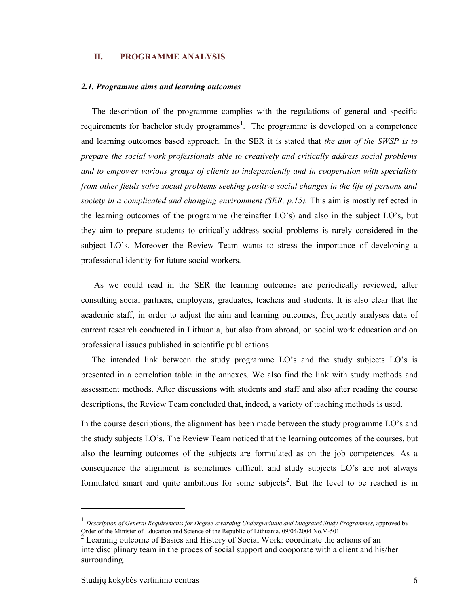#### **II. PROGRAMME ANALYSIS**

#### *2.1. Programme aims and learning outcomes*

The description of the programme complies with the regulations of general and specific requirements for bachelor study programmes<sup>1</sup>. The programme is developed on a competence and learning outcomes based approach. In the SER it is stated that *the aim of the SWSP is to prepare the social work professionals able to creatively and critically address social problems and to empower various groups of clients to independently and in cooperation with specialists from other fields solve social problems seeking positive social changes in the life of persons and society in a complicated and changing environment (SER, p.15).* This aim is mostly reflected in the learning outcomes of the programme (hereinafter LO's) and also in the subject LO's, but they aim to prepare students to critically address social problems is rarely considered in the subject LO's. Moreover the Review Team wants to stress the importance of developing a professional identity for future social workers.

As we could read in the SER the learning outcomes are periodically reviewed, after consulting social partners, employers, graduates, teachers and students. It is also clear that the academic staff, in order to adjust the aim and learning outcomes, frequently analyses data of current research conducted in Lithuania, but also from abroad, on social work education and on professional issues published in scientific publications.

The intended link between the study programme LO's and the study subjects LO's is presented in a correlation table in the annexes. We also find the link with study methods and assessment methods. After discussions with students and staff and also after reading the course descriptions, the Review Team concluded that, indeed, a variety of teaching methods is used.

In the course descriptions, the alignment has been made between the study programme LO's and the study subjects LO's. The Review Team noticed that the learning outcomes of the courses, but also the learning outcomes of the subjects are formulated as on the job competences. As a consequence the alignment is sometimes difficult and study subjects LO's are not always formulated smart and quite ambitious for some subjects<sup>2</sup>. But the level to be reached is in

<sup>1</sup> *Description of General Requirements for Degree-awarding Undergraduate and Integrated Study Programmes,* approved by Order of the Minister of Education and Science of the Republic of Lithuania, 09/04/2004 No.V-501

<sup>&</sup>lt;sup>2</sup> Learning outcome of Basics and History of Social Work: coordinate the actions of an interdisciplinary team in the proces of social support and cooporate with a client and his/her surrounding.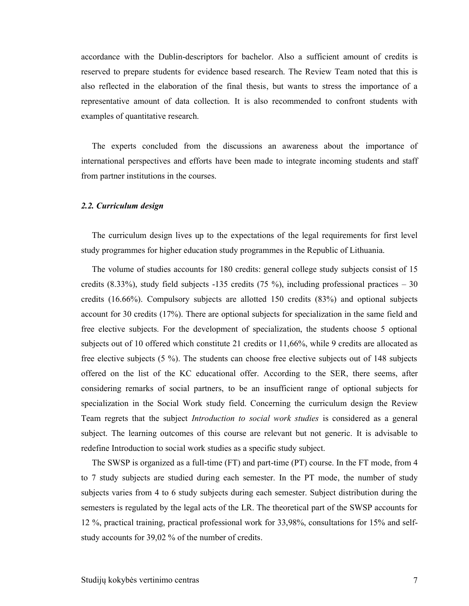accordance with the Dublin-descriptors for bachelor. Also a sufficient amount of credits is reserved to prepare students for evidence based research. The Review Team noted that this is also reflected in the elaboration of the final thesis, but wants to stress the importance of a representative amount of data collection. It is also recommended to confront students with examples of quantitative research.

The experts concluded from the discussions an awareness about the importance of international perspectives and efforts have been made to integrate incoming students and staff from partner institutions in the courses.

#### *2.2. Curriculum design*

The curriculum design lives up to the expectations of the legal requirements for first level study programmes for higher education study programmes in the Republic of Lithuania.

The volume of studies accounts for 180 credits: general college study subjects consist of 15 credits (8.33%), study field subjects  $-135$  credits (75%), including professional practices  $-30$ credits (16.66%). Compulsory subjects are allotted 150 credits (83%) and optional subjects account for 30 credits (17%). There are optional subjects for specialization in the same field and free elective subjects. For the development of specialization, the students choose 5 optional subjects out of 10 offered which constitute 21 credits or 11,66%, while 9 credits are allocated as free elective subjects (5 %). The students can choose free elective subjects out of 148 subjects offered on the list of the KC educational offer. According to the SER, there seems, after considering remarks of social partners, to be an insufficient range of optional subjects for specialization in the Social Work study field. Concerning the curriculum design the Review Team regrets that the subject *Introduction to social work studies* is considered as a general subject. The learning outcomes of this course are relevant but not generic. It is advisable to redefine Introduction to social work studies as a specific study subject.

The SWSP is organized as a full-time (FT) and part-time (PT) course. In the FT mode, from 4 to 7 study subjects are studied during each semester. In the PT mode, the number of study subjects varies from 4 to 6 study subjects during each semester. Subject distribution during the semesters is regulated by the legal acts of the LR. The theoretical part of the SWSP accounts for 12 %, practical training, practical professional work for 33,98%, consultations for 15% and selfstudy accounts for 39,02 % of the number of credits.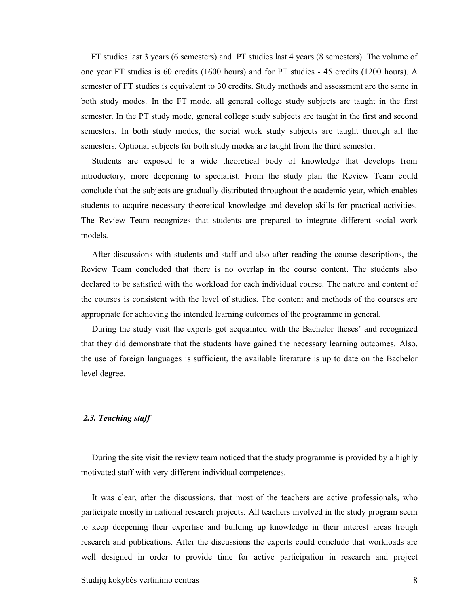FT studies last 3 years (6 semesters) and PT studies last 4 years (8 semesters). The volume of one year FT studies is 60 credits (1600 hours) and for PT studies - 45 credits (1200 hours). A semester of FT studies is equivalent to 30 credits. Study methods and assessment are the same in both study modes. In the FT mode, all general college study subjects are taught in the first semester. In the PT study mode, general college study subjects are taught in the first and second semesters. In both study modes, the social work study subjects are taught through all the semesters. Optional subjects for both study modes are taught from the third semester.

Students are exposed to a wide theoretical body of knowledge that develops from introductory, more deepening to specialist. From the study plan the Review Team could conclude that the subjects are gradually distributed throughout the academic year, which enables students to acquire necessary theoretical knowledge and develop skills for practical activities. The Review Team recognizes that students are prepared to integrate different social work models.

After discussions with students and staff and also after reading the course descriptions, the Review Team concluded that there is no overlap in the course content. The students also declared to be satisfied with the workload for each individual course. The nature and content of the courses is consistent with the level of studies. The content and methods of the courses are appropriate for achieving the intended learning outcomes of the programme in general.

During the study visit the experts got acquainted with the Bachelor theses' and recognized that they did demonstrate that the students have gained the necessary learning outcomes. Also, the use of foreign languages is sufficient, the available literature is up to date on the Bachelor level degree.

#### *2.3. Teaching staff*

During the site visit the review team noticed that the study programme is provided by a highly motivated staff with very different individual competences.

It was clear, after the discussions, that most of the teachers are active professionals, who participate mostly in national research projects. All teachers involved in the study program seem to keep deepening their expertise and building up knowledge in their interest areas trough research and publications. After the discussions the experts could conclude that workloads are well designed in order to provide time for active participation in research and project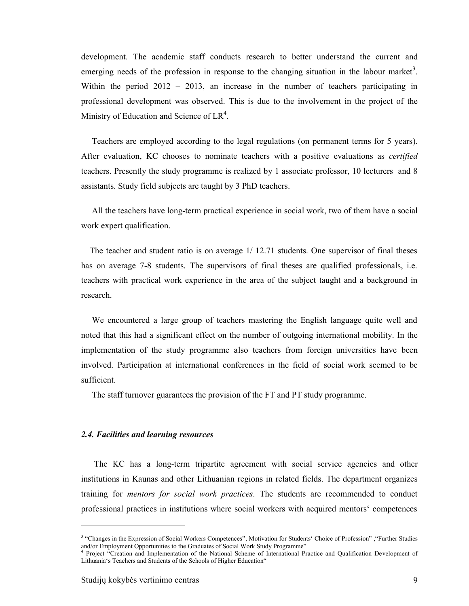development. The academic staff conducts research to better understand the current and emerging needs of the profession in response to the changing situation in the labour market<sup>3</sup>. Within the period 2012 – 2013, an increase in the number of teachers participating in professional development was observed. This is due to the involvement in the project of the Ministry of Education and Science of  $LR<sup>4</sup>$ .

Teachers are employed according to the legal regulations (on permanent terms for 5 years). After evaluation, KC chooses to nominate teachers with a positive evaluations as *certified* teachers. Presently the study programme is realized by 1 associate professor, 10 lecturers and 8 assistants. Study field subjects are taught by 3 PhD teachers.

All the teachers have long-term practical experience in social work, two of them have a social work expert qualification.

The teacher and student ratio is on average 1/ 12.71 students. One supervisor of final theses has on average 7-8 students. The supervisors of final theses are qualified professionals, i.e. teachers with practical work experience in the area of the subject taught and a background in research.

We encountered a large group of teachers mastering the English language quite well and noted that this had a significant effect on the number of outgoing international mobility. In the implementation of the study programme also teachers from foreign universities have been involved. Participation at international conferences in the field of social work seemed to be sufficient.

The staff turnover guarantees the provision of the FT and PT study programme.

#### *2.4. Facilities and learning resources*

The KC has a long-term tripartite agreement with social service agencies and other institutions in Kaunas and other Lithuanian regions in related fields. The department organizes training for *mentors for social work practices*. The students are recommended to conduct professional practices in institutions where social workers with acquired mentors' competences

<sup>3</sup> "Changes in the Expression of Social Workers Competences", Motivation for Students' Choice of Profession" ,"Further Studies and/or Employment Opportunities to the Graduates of Social Work Study Programme" 4 Project "Creation and Implementation of the National Scheme of International Practice and Qualification Development of

Lithuania's Teachers and Students of the Schools of Higher Education"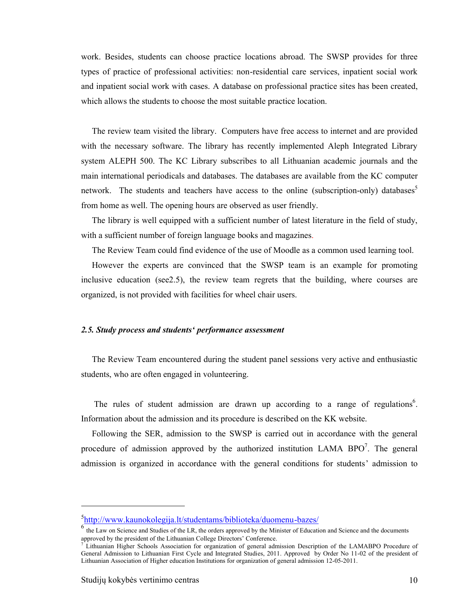work. Besides, students can choose practice locations abroad. The SWSP provides for three types of practice of professional activities: non-residential care services, inpatient social work and inpatient social work with cases. A database on professional practice sites has been created, which allows the students to choose the most suitable practice location.

The review team visited the library. Computers have free access to internet and are provided with the necessary software. The library has recently implemented Aleph Integrated Library system ALEPH 500. The KC Library subscribes to all Lithuanian academic journals and the main international periodicals and databases. The databases are available from the KC computer network. The students and teachers have access to the online (subscription-only) databases<sup>5</sup> from home as well. The opening hours are observed as user friendly.

The library is well equipped with a sufficient number of latest literature in the field of study, with a sufficient number of foreign language books and magazines.

The Review Team could find evidence of the use of Moodle as a common used learning tool.

However the experts are convinced that the SWSP team is an example for promoting inclusive education (see2.5), the review team regrets that the building, where courses are organized, is not provided with facilities for wheel chair users.

#### *2.5. Study process and students' performance assessment*

The Review Team encountered during the student panel sessions very active and enthusiastic students, who are often engaged in volunteering.

The rules of student admission are drawn up according to a range of regulations<sup>6</sup>. Information about the admission and its procedure is described on the KK website.

Following the SER, admission to the SWSP is carried out in accordance with the general procedure of admission approved by the authorized institution LAMA BPO<sup>7</sup>. The general admission is organized in accordance with the general conditions for students' admission to

<sup>5</sup> http://www.kaunokolegija.lt/studentams/biblioteka/duomenu-bazes/

<sup>&</sup>lt;sup>6</sup> the Law on Science and Studies of the LR, the orders approved by the Minister of Education and Science and the documents approved by the president of the Lithuanian College Directors' Conference.

<sup>&</sup>lt;sup>7</sup> Lithuanian Higher Schools Association for organization of general admission Description of the LAMABPO Procedure of General Admission to Lithuanian First Cycle and Integrated Studies, 2011. Approved by Order No 11-02 of the president of Lithuanian Association of Higher education Institutions for organization of general admission 12-05-2011.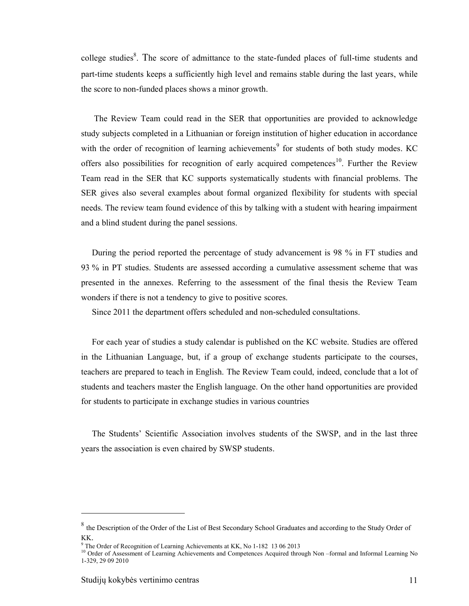college studies<sup>8</sup>. The score of admittance to the state-funded places of full-time students and part-time students keeps a sufficiently high level and remains stable during the last years, while the score to non-funded places shows a minor growth.

The Review Team could read in the SER that opportunities are provided to acknowledge study subjects completed in a Lithuanian or foreign institution of higher education in accordance with the order of recognition of learning achievements<sup>9</sup> for students of both study modes. KC offers also possibilities for recognition of early acquired competences<sup>10</sup>. Further the Review Team read in the SER that KC supports systematically students with financial problems. The SER gives also several examples about formal organized flexibility for students with special needs. The review team found evidence of this by talking with a student with hearing impairment and a blind student during the panel sessions.

During the period reported the percentage of study advancement is 98 % in FT studies and 93 % in PT studies. Students are assessed according a cumulative assessment scheme that was presented in the annexes. Referring to the assessment of the final thesis the Review Team wonders if there is not a tendency to give to positive scores.

Since 2011 the department offers scheduled and non-scheduled consultations.

For each year of studies a study calendar is published on the KC website. Studies are offered in the Lithuanian Language, but, if a group of exchange students participate to the courses, teachers are prepared to teach in English. The Review Team could, indeed, conclude that a lot of students and teachers master the English language. On the other hand opportunities are provided for students to participate in exchange studies in various countries

The Students' Scientific Association involves students of the SWSP, and in the last three years the association is even chaired by SWSP students.

<sup>&</sup>lt;sup>8</sup> the Description of the Order of the List of Best Secondary School Graduates and according to the Study Order of KK.

 $9^9$  The Order of Recognition of Learning Achievements at KK, No 1-182 13 06 2013

<sup>&</sup>lt;sup>10</sup> Order of Assessment of Learning Achievements and Competences Acquired through Non –formal and Informal Learning No 1-329, 29 09 2010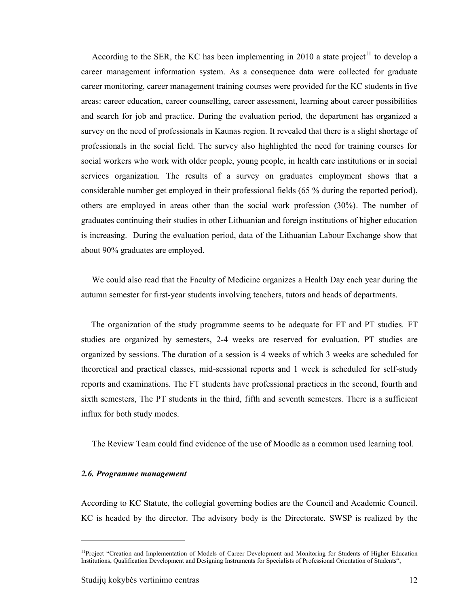According to the SER, the KC has been implementing in 2010 a state project<sup>11</sup> to develop a career management information system. As a consequence data were collected for graduate career monitoring, career management training courses were provided for the KC students in five areas: career education, career counselling, career assessment, learning about career possibilities and search for job and practice. During the evaluation period, the department has organized a survey on the need of professionals in Kaunas region. It revealed that there is a slight shortage of professionals in the social field. The survey also highlighted the need for training courses for social workers who work with older people, young people, in health care institutions or in social services organization. The results of a survey on graduates employment shows that a considerable number get employed in their professional fields (65 % during the reported period), others are employed in areas other than the social work profession (30%). The number of graduates continuing their studies in other Lithuanian and foreign institutions of higher education is increasing. During the evaluation period, data of the Lithuanian Labour Exchange show that about 90% graduates are employed.

We could also read that the Faculty of Medicine organizes a Health Day each year during the autumn semester for first-year students involving teachers, tutors and heads of departments.

The organization of the study programme seems to be adequate for FT and PT studies. FT studies are organized by semesters, 2-4 weeks are reserved for evaluation. PT studies are organized by sessions. The duration of a session is 4 weeks of which 3 weeks are scheduled for theoretical and practical classes, mid-sessional reports and 1 week is scheduled for self-study reports and examinations. The FT students have professional practices in the second, fourth and sixth semesters, The PT students in the third, fifth and seventh semesters. There is a sufficient influx for both study modes.

The Review Team could find evidence of the use of Moodle as a common used learning tool.

#### *2.6. Programme management*

According to KC Statute, the collegial governing bodies are the Council and Academic Council. KC is headed by the director. The advisory body is the Directorate. SWSP is realized by the

<sup>&</sup>lt;sup>11</sup>Project "Creation and Implementation of Models of Career Development and Monitoring for Students of Higher Education Institutions, Qualification Development and Designing Instruments for Specialists of Professional Orientation of Students",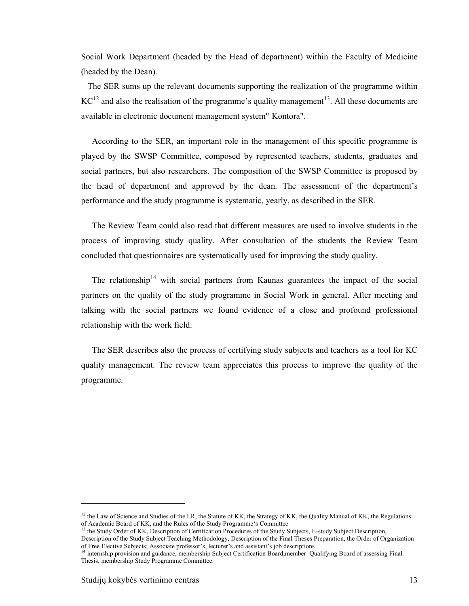Social Work Department (headed by the Head of department) within the Faculty of Medicine (headed by the Dean).

The SER sums up the relevant documents supporting the realization of the programme within  $KC^{12}$  and also the realisation of the programme's quality management<sup>13</sup>. All these documents are available in electronic document management system" Kontora".

According to the SER, an important role in the management of this specific programme is played by the SWSP Committee, composed by represented teachers, students, graduates and social partners, but also researchers. The composition of the SWSP Committee is proposed by the head of department and approved by the dean. The assessment of the department's performance and the study programme is systematic, yearly, as described in the SER.

The Review Team could also read that different measures are used to involve students in the process of improving study quality. After consultation of the students the Review Team concluded that questionnaires are systematically used for improving the study quality.

The relationship<sup>14</sup> with social partners from Kaunas guarantees the impact of the social partners on the quality of the study programme in Social Work in general. After meeting and talking with the social partners we found evidence of a close and profound professional relationship with the work field.

The SER describes also the process of certifying study subjects and teachers as a tool for KC quality management. The review team appreciates this process to improve the quality of the programme.

 $12$  the Law of Science and Studies of the LR, the Statute of KK, the Strategy of KK, the Quality Manual of KK, the Regulations of Academic Board of KK, and the Rules of the Study Programme's Committee

<sup>&</sup>lt;sup>13</sup> the Study Order of KK, Description of Certification Procedures of the Study Subjects, E-study Subject Description, Description of the Study Subject Teaching Methodology, Description of the Final Theses Preparation, the Order of Organization of Free Elective Subjects; Associate professor's, lecturer's and assistant's job descriptions

<sup>&</sup>lt;sup>14</sup> internship provision and guidance, membership Subject Certification Board,member Qualifying Board of assessing Final Thesis, membership Study Programme Committee.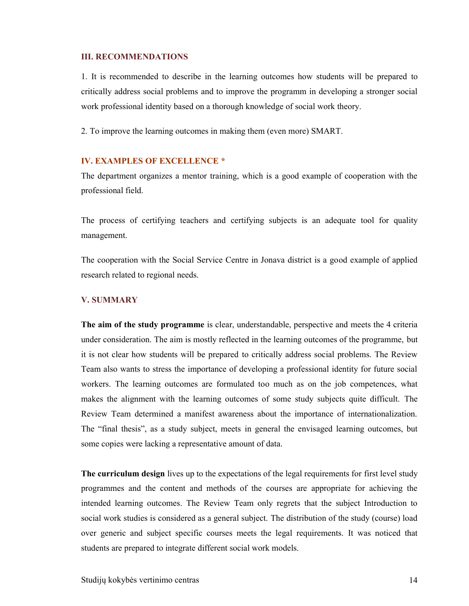#### **III. RECOMMENDATIONS**

1. It is recommended to describe in the learning outcomes how students will be prepared to critically address social problems and to improve the programm in developing a stronger social work professional identity based on a thorough knowledge of social work theory.

2. To improve the learning outcomes in making them (even more) SMART.

## **IV. EXAMPLES OF EXCELLENCE \***

The department organizes a mentor training, which is a good example of cooperation with the professional field.

The process of certifying teachers and certifying subjects is an adequate tool for quality management.

The cooperation with the Social Service Centre in Jonava district is a good example of applied research related to regional needs.

## **V. SUMMARY**

**The aim of the study programme** is clear, understandable, perspective and meets the 4 criteria under consideration. The aim is mostly reflected in the learning outcomes of the programme, but it is not clear how students will be prepared to critically address social problems. The Review Team also wants to stress the importance of developing a professional identity for future social workers. The learning outcomes are formulated too much as on the job competences, what makes the alignment with the learning outcomes of some study subjects quite difficult. The Review Team determined a manifest awareness about the importance of internationalization. The "final thesis", as a study subject, meets in general the envisaged learning outcomes, but some copies were lacking a representative amount of data.

**The curriculum design** lives up to the expectations of the legal requirements for first level study programmes and the content and methods of the courses are appropriate for achieving the intended learning outcomes. The Review Team only regrets that the subject Introduction to social work studies is considered as a general subject. The distribution of the study (course) load over generic and subject specific courses meets the legal requirements. It was noticed that students are prepared to integrate different social work models.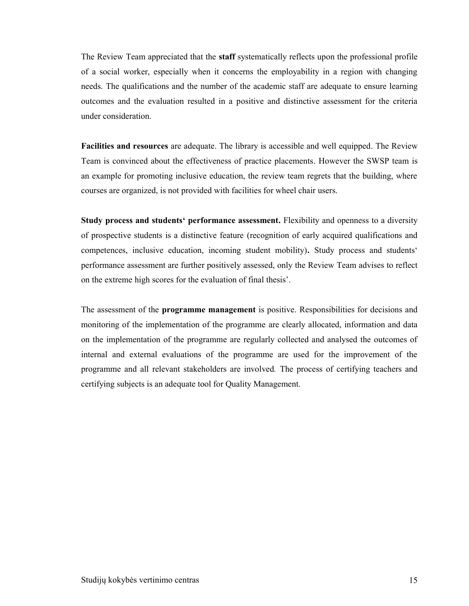The Review Team appreciated that the **staff** systematically reflects upon the professional profile of a social worker, especially when it concerns the employability in a region with changing needs. The qualifications and the number of the academic staff are adequate to ensure learning outcomes and the evaluation resulted in a positive and distinctive assessment for the criteria under consideration.

**Facilities and resources** are adequate. The library is accessible and well equipped. The Review Team is convinced about the effectiveness of practice placements. However the SWSP team is an example for promoting inclusive education, the review team regrets that the building, where courses are organized, is not provided with facilities for wheel chair users.

**Study process and students' performance assessment.** Flexibility and openness to a diversity of prospective students is a distinctive feature (recognition of early acquired qualifications and competences, inclusive education, incoming student mobility)**.** Study process and students' performance assessment are further positively assessed, only the Review Team advises to reflect on the extreme high scores for the evaluation of final thesis'.

The assessment of the **programme management** is positive. Responsibilities for decisions and monitoring of the implementation of the programme are clearly allocated, information and data on the implementation of the programme are regularly collected and analysed the outcomes of internal and external evaluations of the programme are used for the improvement of the programme and all relevant stakeholders are involved*.* The process of certifying teachers and certifying subjects is an adequate tool for Quality Management.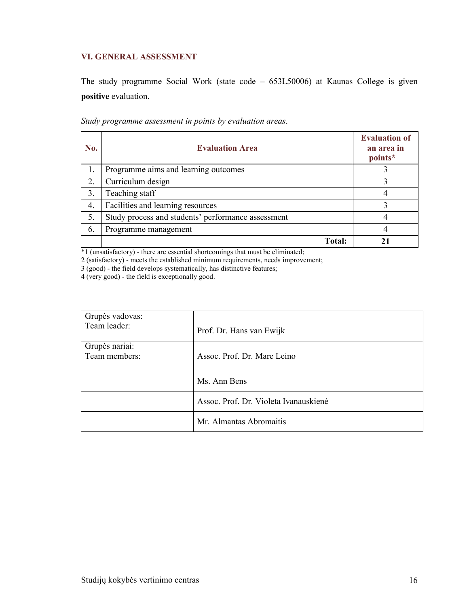## **VI. GENERAL ASSESSMENT**

The study programme Social Work (state code – 653L50006) at Kaunas College is given **positive** evaluation.

| No. | <b>Evaluation Area</b>                             | <b>Evaluation of</b><br>an area in<br>points* |
|-----|----------------------------------------------------|-----------------------------------------------|
| 1.  | Programme aims and learning outcomes               |                                               |
| 2.  | Curriculum design                                  |                                               |
| 3.  | Teaching staff                                     |                                               |
| 4.  | Facilities and learning resources                  |                                               |
| 5.  | Study process and students' performance assessment |                                               |
| 6.  | Programme management                               |                                               |
|     | <b>Total:</b>                                      |                                               |

*Study programme assessment in points by evaluation areas*.

\*1 (unsatisfactory) - there are essential shortcomings that must be eliminated;

2 (satisfactory) - meets the established minimum requirements, needs improvement;

3 (good) - the field develops systematically, has distinctive features;

4 (very good) - the field is exceptionally good.

| Grupės vadovas:<br>Team leader: | Prof. Dr. Hans van Ewijk              |
|---------------------------------|---------------------------------------|
| Grupės nariai:<br>Team members: | Assoc. Prof. Dr. Mare Leino           |
|                                 | Ms. Ann Bens                          |
|                                 | Assoc. Prof. Dr. Violeta Ivanauskienė |
|                                 | Mr. Almantas Abromaitis               |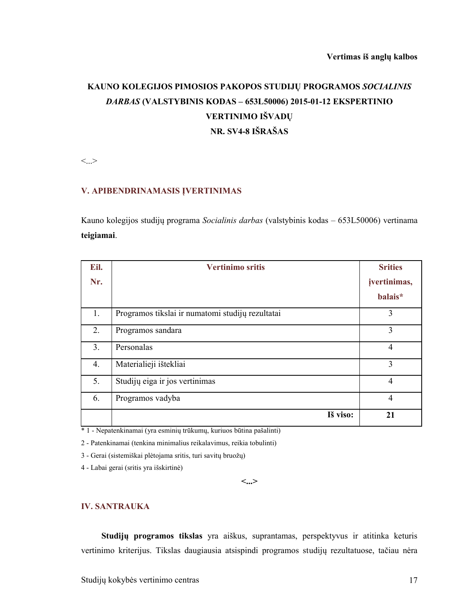# **KAUNO KOLEGIJOS PIMOSIOS PAKOPOS STUDIJŲ PROGRAMOS** *SOCIALINIS DARBAS* **(VALSTYBINIS KODAS – 653L50006) 2015-01-12 EKSPERTINIO VERTINIMO IŠVADŲ NR. SV4-8 IŠRAŠAS**

 $\langle \cdot \rangle$ 

## **V. APIBENDRINAMASIS ĮVERTINIMAS**

Kauno kolegijos studijų programa *Socialinis darbas* (valstybinis kodas – 653L50006) vertinama **teigiamai**.

| Eil. | <b>Vertinimo sritis</b>                          | <b>Srities</b> |
|------|--------------------------------------------------|----------------|
| Nr.  |                                                  | jvertinimas,   |
|      |                                                  | balais*        |
| 1.   | Programos tikslai ir numatomi studijų rezultatai | 3              |
| 2.   | Programos sandara                                | 3              |
| 3.   | Personalas                                       | $\overline{4}$ |
| 4.   | Materialieji ištekliai                           | $\mathcal{E}$  |
| 5.   | Studijų eiga ir jos vertinimas                   | $\overline{4}$ |
| 6.   | Programos vadyba                                 | $\overline{4}$ |
|      | Iš viso:                                         | 21             |

\* 1 - Nepatenkinamai (yra esminių trūkumų, kuriuos būtina pašalinti)

2 - Patenkinamai (tenkina minimalius reikalavimus, reikia tobulinti)

3 - Gerai (sistemiškai plėtojama sritis, turi savitų bruožų)

4 - Labai gerai (sritis yra išskirtinė)

**<...>**

## **IV. SANTRAUKA**

**Studijų programos tikslas** yra aiškus, suprantamas, perspektyvus ir atitinka keturis vertinimo kriterijus. Tikslas daugiausia atsispindi programos studijų rezultatuose, tačiau nėra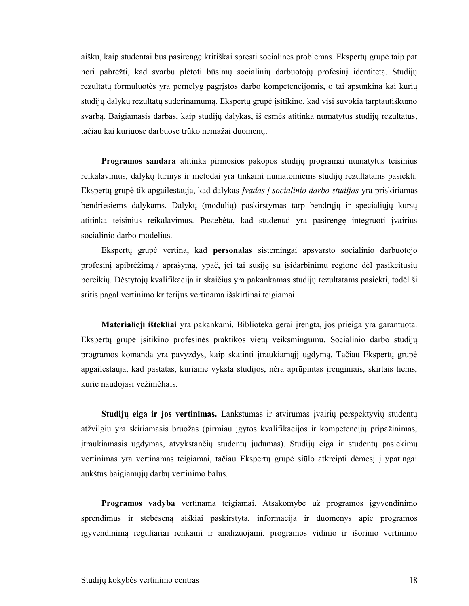aišku, kaip studentai bus pasirengę kritiškai spręsti socialines problemas. Ekspertų grupė taip pat nori pabrėžti, kad svarbu plėtoti būsimų socialinių darbuotojų profesinį identitetą. Studijų rezultatų formuluotės yra pernelyg pagrįstos darbo kompetencijomis, o tai apsunkina kai kurių studijų dalykų rezultatų suderinamumą. Ekspertų grupė įsitikino, kad visi suvokia tarptautiškumo svarbą. Baigiamasis darbas, kaip studijų dalykas, iš esmės atitinka numatytus studijų rezultatus, tačiau kai kuriuose darbuose trūko nemažai duomenų.

**Programos sandara** atitinka pirmosios pakopos studijų programai numatytus teisinius reikalavimus, dalykų turinys ir metodai yra tinkami numatomiems studijų rezultatams pasiekti. Ekspertų grupė tik apgailestauja, kad dalykas *Įvadas į socialinio darbo studijas* yra priskiriamas bendriesiems dalykams. Dalykų (modulių) paskirstymas tarp bendrųjų ir specialiųjų kursų atitinka teisinius reikalavimus. Pastebėta, kad studentai yra pasirengę integruoti įvairius socialinio darbo modelius.

Ekspertų grupė vertina, kad **personalas** sistemingai apsvarsto socialinio darbuotojo profesinį apibrėžimą / aprašymą, ypač, jei tai susiję su įsidarbinimu regione dėl pasikeitusių poreikių. Dėstytojų kvalifikacija ir skaičius yra pakankamas studijų rezultatams pasiekti, todėl ši sritis pagal vertinimo kriterijus vertinama išskirtinai teigiamai.

**Materialieji ištekliai** yra pakankami. Biblioteka gerai įrengta, jos prieiga yra garantuota. Ekspertų grupė įsitikino profesinės praktikos vietų veiksmingumu. Socialinio darbo studijų programos komanda yra pavyzdys, kaip skatinti įtraukiamąjį ugdymą. Tačiau Ekspertų grupė apgailestauja, kad pastatas, kuriame vyksta studijos, nėra aprūpintas įrenginiais, skirtais tiems, kurie naudojasi vežimėliais.

**Studijų eiga ir jos vertinimas.** Lankstumas ir atvirumas įvairių perspektyvių studentų atžvilgiu yra skiriamasis bruožas (pirmiau įgytos kvalifikacijos ir kompetencijų pripažinimas, įtraukiamasis ugdymas, atvykstančių studentų judumas). Studijų eiga ir studentų pasiekimų vertinimas yra vertinamas teigiamai, tačiau Ekspertų grupė siūlo atkreipti dėmesį į ypatingai aukštus baigiamųjų darbų vertinimo balus.

**Programos vadyba** vertinama teigiamai. Atsakomybė už programos įgyvendinimo sprendimus ir stebėseną aiškiai paskirstyta, informacija ir duomenys apie programos įgyvendinimą reguliariai renkami ir analizuojami, programos vidinio ir išorinio vertinimo